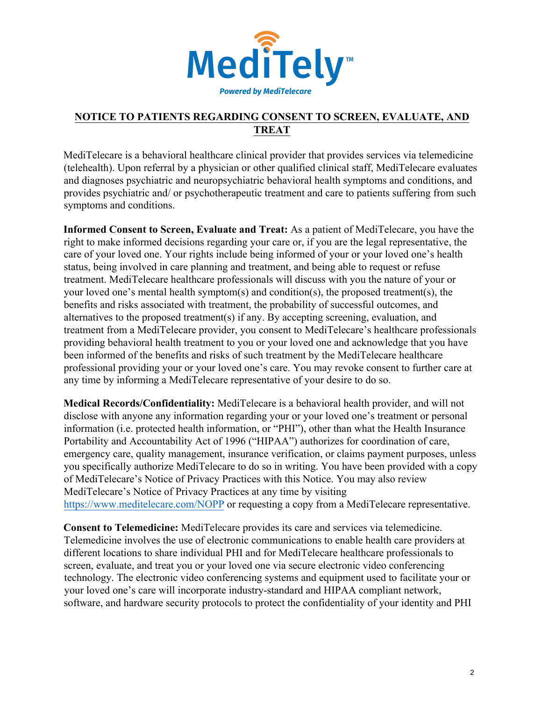

## **NOTICE TO PATIENTS REGARDING CONSENT TO SCREEN, EVALUATE, AND TREAT**

MediTelecare is a behavioral healthcare clinical provider that provides services via telemedicine (telehealth). Upon referral by a physician or other qualified clinical staff, MediTelecare evaluates and diagnoses psychiatric and neuropsychiatric behavioral health symptoms and conditions, and provides psychiatric and/ or psychotherapeutic treatment and care to patients suffering from such symptoms and conditions.

**Informed Consent to Screen, Evaluate and Treat:** As a patient of MediTelecare, you have the right to make informed decisions regarding your care or, if you are the legal representative, the care of your loved one. Your rights include being informed of your or your loved one's health status, being involved in care planning and treatment, and being able to request or refuse treatment. MediTelecare healthcare professionals will discuss with you the nature of your or your loved one's mental health symptom(s) and condition(s), the proposed treatment(s), the benefits and risks associated with treatment, the probability of successful outcomes, and alternatives to the proposed treatment(s) if any. By accepting screening, evaluation, and treatment from a MediTelecare provider, you consent to MediTelecare's healthcare professionals providing behavioral health treatment to you or your loved one and acknowledge that you have been informed of the benefits and risks of such treatment by the MediTelecare healthcare professional providing your or your loved one's care. You may revoke consent to further care at any time by informing a MediTelecare representative of your desire to do so.

**Medical Records/Confidentiality:** MediTelecare is a behavioral health provider, and will not disclose with anyone any information regarding your or your loved one's treatment or personal information (i.e. protected health information, or "PHI"), other than what the Health Insurance Portability and Accountability Act of 1996 ("HIPAA") authorizes for coordination of care, emergency care, quality management, insurance verification, or claims payment purposes, unless you specifically authorize MediTelecare to do so in writing. You have been provided with a copy of MediTelecare's Notice of Privacy Practices with this Notice. You may also review MediTelecare's Notice of Privacy Practices at any time by visiting https://www.meditelecare.com/NOPP or requesting a copy from a MediTelecare representative.

**Consent to Telemedicine:** MediTelecare provides its care and services via telemedicine. Telemedicine involves the use of electronic communications to enable health care providers at different locations to share individual PHI and for MediTelecare healthcare professionals to screen, evaluate, and treat you or your loved one via secure electronic video conferencing technology. The electronic video conferencing systems and equipment used to facilitate your or your loved one's care will incorporate industry-standard and HIPAA compliant network, software, and hardware security protocols to protect the confidentiality of your identity and PHI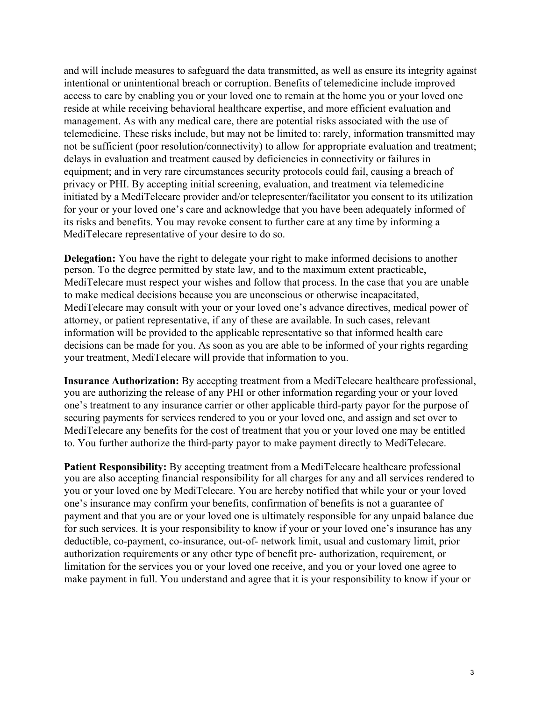and will include measures to safeguard the data transmitted, as well as ensure its integrity against intentional or unintentional breach or corruption. Benefits of telemedicine include improved access to care by enabling you or your loved one to remain at the home you or your loved one reside at while receiving behavioral healthcare expertise, and more efficient evaluation and management. As with any medical care, there are potential risks associated with the use of telemedicine. These risks include, but may not be limited to: rarely, information transmitted may not be sufficient (poor resolution/connectivity) to allow for appropriate evaluation and treatment; delays in evaluation and treatment caused by deficiencies in connectivity or failures in equipment; and in very rare circumstances security protocols could fail, causing a breach of privacy or PHI. By accepting initial screening, evaluation, and treatment via telemedicine initiated by a MediTelecare provider and/or telepresenter/facilitator you consent to its utilization for your or your loved one's care and acknowledge that you have been adequately informed of its risks and benefits. You may revoke consent to further care at any time by informing a MediTelecare representative of your desire to do so.

**Delegation:** You have the right to delegate your right to make informed decisions to another person. To the degree permitted by state law, and to the maximum extent practicable, MediTelecare must respect your wishes and follow that process. In the case that you are unable to make medical decisions because you are unconscious or otherwise incapacitated, MediTelecare may consult with your or your loved one's advance directives, medical power of attorney, or patient representative, if any of these are available. In such cases, relevant information will be provided to the applicable representative so that informed health care decisions can be made for you. As soon as you are able to be informed of your rights regarding your treatment, MediTelecare will provide that information to you.

**Insurance Authorization:** By accepting treatment from a MediTelecare healthcare professional, you are authorizing the release of any PHI or other information regarding your or your loved one's treatment to any insurance carrier or other applicable third-party payor for the purpose of securing payments for services rendered to you or your loved one, and assign and set over to MediTelecare any benefits for the cost of treatment that you or your loved one may be entitled to. You further authorize the third-party payor to make payment directly to MediTelecare.

**Patient Responsibility:** By accepting treatment from a MediTelecare healthcare professional you are also accepting financial responsibility for all charges for any and all services rendered to you or your loved one by MediTelecare. You are hereby notified that while your or your loved one's insurance may confirm your benefits, confirmation of benefits is not a guarantee of payment and that you are or your loved one is ultimately responsible for any unpaid balance due for such services. It is your responsibility to know if your or your loved one's insurance has any deductible, co-payment, co-insurance, out-of- network limit, usual and customary limit, prior authorization requirements or any other type of benefit pre- authorization, requirement, or limitation for the services you or your loved one receive, and you or your loved one agree to make payment in full. You understand and agree that it is your responsibility to know if your or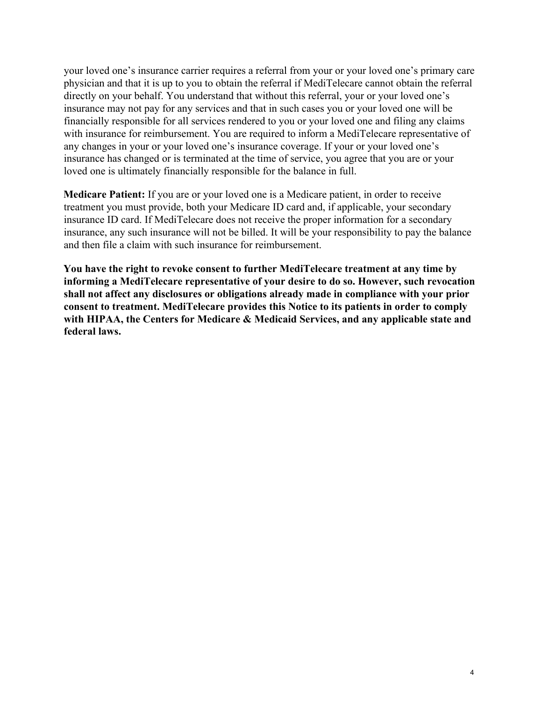your loved one's insurance carrier requires a referral from your or your loved one's primary care physician and that it is up to you to obtain the referral if MediTelecare cannot obtain the referral directly on your behalf. You understand that without this referral, your or your loved one's insurance may not pay for any services and that in such cases you or your loved one will be financially responsible for all services rendered to you or your loved one and filing any claims with insurance for reimbursement. You are required to inform a MediTelecare representative of any changes in your or your loved one's insurance coverage. If your or your loved one's insurance has changed or is terminated at the time of service, you agree that you are or your loved one is ultimately financially responsible for the balance in full.

**Medicare Patient:** If you are or your loved one is a Medicare patient, in order to receive treatment you must provide, both your Medicare ID card and, if applicable, your secondary insurance ID card. If MediTelecare does not receive the proper information for a secondary insurance, any such insurance will not be billed. It will be your responsibility to pay the balance and then file a claim with such insurance for reimbursement.

**You have the right to revoke consent to further MediTelecare treatment at any time by informing a MediTelecare representative of your desire to do so. However, such revocation shall not affect any disclosures or obligations already made in compliance with your prior consent to treatment. MediTelecare provides this Notice to its patients in order to comply with HIPAA, the Centers for Medicare & Medicaid Services, and any applicable state and federal laws.**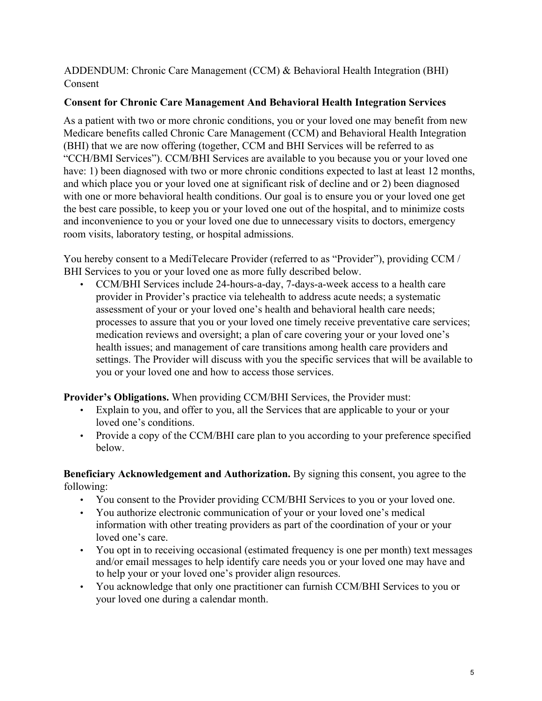## ADDENDUM: Chronic Care Management (CCM) & Behavioral Health Integration (BHI) Consent

## **Consent for Chronic Care Management And Behavioral Health Integration Services**

As a patient with two or more chronic conditions, you or your loved one may benefit from new Medicare benefits called Chronic Care Management (CCM) and Behavioral Health Integration (BHI) that we are now offering (together, CCM and BHI Services will be referred to as "CCH/BMI Services"). CCM/BHI Services are available to you because you or your loved one have: 1) been diagnosed with two or more chronic conditions expected to last at least 12 months, and which place you or your loved one at significant risk of decline and or 2) been diagnosed with one or more behavioral health conditions. Our goal is to ensure you or your loved one get the best care possible, to keep you or your loved one out of the hospital, and to minimize costs and inconvenience to you or your loved one due to unnecessary visits to doctors, emergency room visits, laboratory testing, or hospital admissions.

You hereby consent to a MediTelecare Provider (referred to as "Provider"), providing CCM / BHI Services to you or your loved one as more fully described below.

• CCM/BHI Services include 24-hours-a-day, 7-days-a-week access to a health care provider in Provider's practice via telehealth to address acute needs; a systematic assessment of your or your loved one's health and behavioral health care needs; processes to assure that you or your loved one timely receive preventative care services; medication reviews and oversight; a plan of care covering your or your loved one's health issues; and management of care transitions among health care providers and settings. The Provider will discuss with you the specific services that will be available to you or your loved one and how to access those services.

**Provider's Obligations.** When providing CCM/BHI Services, the Provider must:

- Explain to you, and offer to you, all the Services that are applicable to your or your loved one's conditions.
- Provide a copy of the CCM/BHI care plan to you according to your preference specified below.

**Beneficiary Acknowledgement and Authorization.** By signing this consent, you agree to the following:

- You consent to the Provider providing CCM/BHI Services to you or your loved one.
- You authorize electronic communication of your or your loved one's medical information with other treating providers as part of the coordination of your or your loved one's care.
- You opt in to receiving occasional (estimated frequency is one per month) text messages and/or email messages to help identify care needs you or your loved one may have and to help your or your loved one's provider align resources.
- You acknowledge that only one practitioner can furnish CCM/BHI Services to you or your loved one during a calendar month.